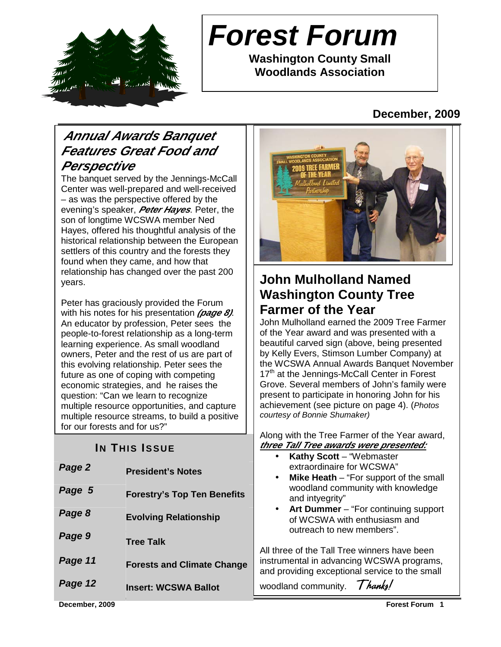

# **Forest Forum**

**Washington County Small Woodlands Association** 

### **December, 2009**

### **Annual Awards Banquet Features Great Food and Perspective**

The banquet served by the Jennings-McCall Center was well-prepared and well-received – as was the perspective offered by the evening's speaker, **Peter Hayes**. Peter, the son of longtime WCSWA member Ned Hayes, offered his thoughtful analysis of the historical relationship between the European settlers of this country and the forests they found when they came, and how that relationship has changed over the past 200 years.

Peter has graciously provided the Forum with his notes for his presentation **(page 8)**. An educator by profession, Peter sees the people-to-forest relationship as a long-term learning experience. As small woodland owners, Peter and the rest of us are part of this evolving relationship. Peter sees the future as one of coping with competing economic strategies, and he raises the question: "Can we learn to recognize multiple resource opportunities, and capture multiple resource streams, to build a positive for our forests and for us?"

### **IN THIS ISSUE**

| Page 2  | <b>President's Notes</b>           | <b>NALITY OCOLL -</b><br>extraordinaire<br>Mike Heath -<br>$\bullet$ |
|---------|------------------------------------|----------------------------------------------------------------------|
| Page 5  | <b>Forestry's Top Ten Benefits</b> | woodland con<br>and intyegrity'                                      |
| Page 8  | <b>Evolving Relationship</b>       | Art Dummer<br>$\bullet$<br>of WCSWA w<br>outreach to ne              |
| Page 9  | <b>Tree Talk</b>                   | All three of the Tall Ti                                             |
| Page 11 | <b>Forests and Climate Change</b>  | instrumental in advan<br>and providing excepti                       |
| Page 12 | <b>Insert: WCSWA Ballot</b>        | woodland community                                                   |



### **John Mulholland Named Washington County Tree Farmer of the Year**

John Mulholland earned the 2009 Tree Farmer of the Year award and was presented with a beautiful carved sign (above, being presented by Kelly Evers, Stimson Lumber Company) at the WCSWA Annual Awards Banquet November 17<sup>th</sup> at the Jennings-McCall Center in Forest Grove. Several members of John's family were present to participate in honoring John for his achievement (see picture on page 4). (Photos courtesy of Bonnie Shumaker)

Along with the Tree Farmer of the Year award, **three Tall Tree awards were presented:**

- **Kathy Scott** "Webmaster for WCSWA"
- **Mike Heath** "For support of the small nmunity with knowledge and intyegrity"
- **Art Dummer** "For continuing support ith enthusiasm and ew members".

ree winners have been icing WCSWA programs, ional service to the small  $Thanks!$ 

**December, 2009 Forest Forum 1**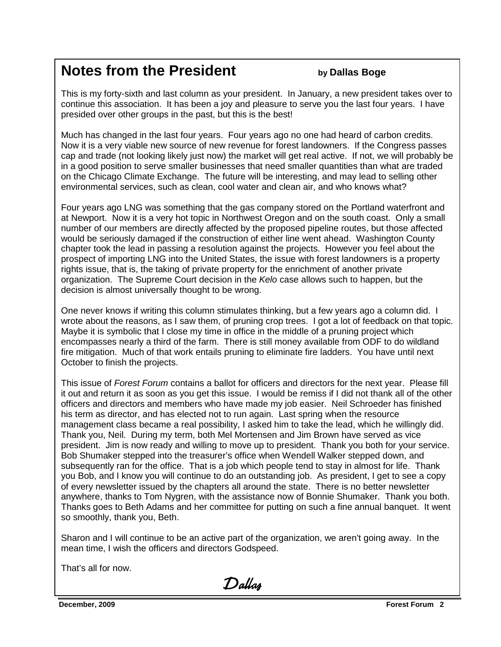### **Notes from the President by Dallas Boge**

This is my forty-sixth and last column as your president. In January, a new president takes over to continue this association. It has been a joy and pleasure to serve you the last four years. I have presided over other groups in the past, but this is the best!

Much has changed in the last four years. Four years ago no one had heard of carbon credits. Now it is a very viable new source of new revenue for forest landowners. If the Congress passes cap and trade (not looking likely just now) the market will get real active. If not, we will probably be in a good position to serve smaller businesses that need smaller quantities than what are traded on the Chicago Climate Exchange. The future will be interesting, and may lead to selling other environmental services, such as clean, cool water and clean air, and who knows what?

Four years ago LNG was something that the gas company stored on the Portland waterfront and at Newport. Now it is a very hot topic in Northwest Oregon and on the south coast. Only a small number of our members are directly affected by the proposed pipeline routes, but those affected would be seriously damaged if the construction of either line went ahead. Washington County chapter took the lead in passing a resolution against the projects. However you feel about the prospect of importing LNG into the United States, the issue with forest landowners is a property rights issue, that is, the taking of private property for the enrichment of another private organization. The Supreme Court decision in the Kelo case allows such to happen, but the decision is almost universally thought to be wrong.

One never knows if writing this column stimulates thinking, but a few years ago a column did. I wrote about the reasons, as I saw them, of pruning crop trees. I got a lot of feedback on that topic. Maybe it is symbolic that I close my time in office in the middle of a pruning project which encompasses nearly a third of the farm. There is still money available from ODF to do wildland fire mitigation. Much of that work entails pruning to eliminate fire ladders. You have until next October to finish the projects.

This issue of Forest Forum contains a ballot for officers and directors for the next year. Please fill it out and return it as soon as you get this issue. I would be remiss if I did not thank all of the other officers and directors and members who have made my job easier. Neil Schroeder has finished his term as director, and has elected not to run again. Last spring when the resource management class became a real possibility, I asked him to take the lead, which he willingly did. Thank you, Neil. During my term, both Mel Mortensen and Jim Brown have served as vice president. Jim is now ready and willing to move up to president. Thank you both for your service. Bob Shumaker stepped into the treasurer's office when Wendell Walker stepped down, and subsequently ran for the office. That is a job which people tend to stay in almost for life. Thank you Bob, and I know you will continue to do an outstanding job. As president, I get to see a copy of every newsletter issued by the chapters all around the state. There is no better newsletter anywhere, thanks to Tom Nygren, with the assistance now of Bonnie Shumaker. Thank you both. Thanks goes to Beth Adams and her committee for putting on such a fine annual banquet. It went so smoothly, thank you, Beth.

Sharon and I will continue to be an active part of the organization, we aren't going away. In the mean time, I wish the officers and directors Godspeed.

That's all for now.

Dallas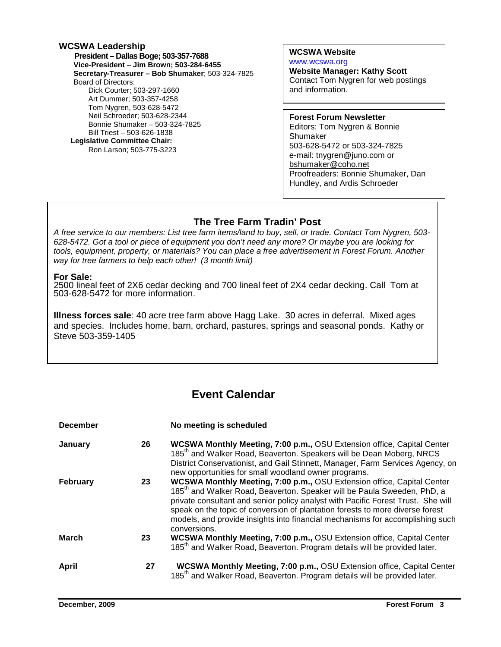#### **WCSWA Leadership President – Dallas Boge; 503-357-7688 Vice-President** – **Jim Brown; 503-284-6455 Secretary-Treasurer – Bob Shumaker**; 503-324-7825 Board of Directors: Dick Courter; 503-297-1660 Art Dummer; 503-357-4258 Tom Nygren, 503-628-5472 Neil Schroeder; 503-628-2344 Bonnie Shumaker – 503-324-7825 Bill Triest – 503-626-1838  **Legislative Committee Chair:**  Ron Larson; 503-775-3223

**WCSWA Website** www.wcswa.org

**Website Manager: Kathy Scott** Contact Tom Nygren for web postings and information.

**Forest Forum Newsletter** Editors: Tom Nygren & Bonnie Shumaker 503-628-5472 or 503-324-7825 e-mail: tnygren@juno.com or bshumaker@coho.net Proofreaders: Bonnie Shumaker, Dan Hundley, and Ardis Schroeder

#### **The Tree Farm Tradin' Post**

 628-5472. Got a tool or piece of equipment you don't need any more? Or maybe you are looking for A free service to our members: List tree farm items/land to buy, sell, or trade. Contact Tom Nygren, 503 tools, equipment, property, or materials? You can place a free advertisement in Forest Forum. Another way for tree farmers to help each other! (3 month limit)

#### **For Sale:**

2500 lineal feet of 2X6 cedar decking and 700 lineal feet of 2X4 cedar decking. Call Tom at 503-628-5472 for more information.

**Illness forces sale**: 40 acre tree farm above Hagg Lake. 30 acres in deferral. Mixed ages and species. Includes home, barn, orchard, pastures, springs and seasonal ponds. Kathy or Steve 503-359-1405

### **Event Calendar**

| <b>December</b> |    | No meeting is scheduled                                                                                                                                                                                                                                                                                                                                                                                                             |
|-----------------|----|-------------------------------------------------------------------------------------------------------------------------------------------------------------------------------------------------------------------------------------------------------------------------------------------------------------------------------------------------------------------------------------------------------------------------------------|
| January         | 26 | <b>WCSWA Monthly Meeting, 7:00 p.m., OSU Extension office, Capital Center</b><br>185 <sup>th</sup> and Walker Road, Beaverton. Speakers will be Dean Moberg, NRCS<br>District Conservationist, and Gail Stinnett, Manager, Farm Services Agency, on<br>new opportunities for small woodland owner programs.                                                                                                                         |
| <b>February</b> | 23 | WCSWA Monthly Meeting, 7:00 p.m., OSU Extension office, Capital Center<br>185 <sup>th</sup> and Walker Road, Beaverton. Speaker will be Paula Sweeden, PhD, a<br>private consultant and senior policy analyst with Pacific Forest Trust. She will<br>speak on the topic of conversion of plantation forests to more diverse forest<br>models, and provide insights into financial mechanisms for accomplishing such<br>conversions. |
| <b>March</b>    | 23 | WCSWA Monthly Meeting, 7:00 p.m., OSU Extension office, Capital Center<br>185 <sup>th</sup> and Walker Road, Beaverton. Program details will be provided later.                                                                                                                                                                                                                                                                     |
| April           | 27 | <b>WCSWA Monthly Meeting, 7:00 p.m., OSU Extension office, Capital Center</b><br>185 <sup>th</sup> and Walker Road, Beaverton. Program details will be provided later.                                                                                                                                                                                                                                                              |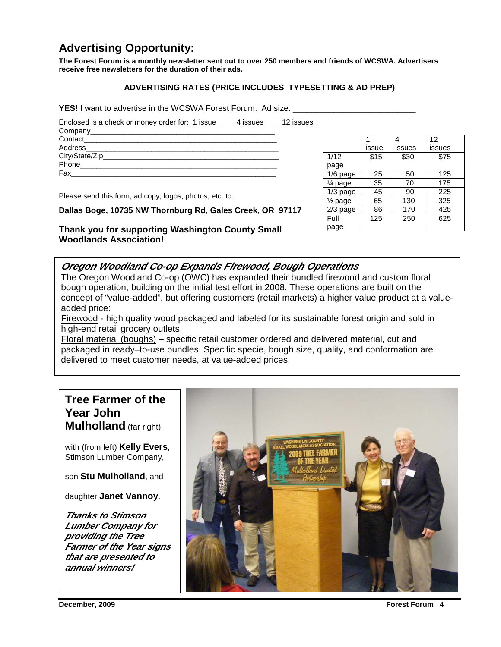### **Advertising Opportunity:**

**The Forest Forum is a monthly newsletter sent out to over 250 members and friends of WCSWA. Advertisers receive free newsletters for the duration of their ads.** 

#### **ADVERTISING RATES (PRICE INCLUDES TYPESETTING & AD PREP)**

**YES!** I want to advertise in the WCSWA Forest Forum. Ad size:

Enclosed is a check or money order for: 1 issue \_\_\_ 4 issues \_\_\_ 12 issues \_\_\_

Please send this form, ad copy, logos, photos, etc. to:

#### **Dallas Boge, 10735 NW Thornburg Rd, Gales Creek, OR 97117**

**Thank you for supporting Washington County Small Woodlands Association!** 

#### **Oregon Woodland Co-op Expands Firewood, Bough Operations**

The Oregon Woodland Co-op (OWC) has expanded their bundled firewood and custom floral bough operation, building on the initial test effort in 2008. These operations are built on the concept of "value-added", but offering customers (retail markets) a higher value product at a valueadded price:

Firewood - high quality wood packaged and labeled for its sustainable forest origin and sold in high-end retail grocery outlets.

Floral material (boughs) – specific retail customer ordered and delivered material, cut and packaged in ready–to-use bundles. Specific specie, bough size, quality, and conformation are delivered to meet customer needs, at value-added prices.

#### **Tree Farmer of the Year John Mulholland** (far right),

with (from left) **Kelly Evers**, Stimson Lumber Company,

son **Stu Mulholland**, and

daughter **Janet Vannoy**.

**Thanks to Stimson Lumber Company for providing the Tree Farmer of the Year signs that are presented to annual winners!** 



|                      |       |        | 12     |
|----------------------|-------|--------|--------|
|                      | issue | issues | issues |
| 1/12                 | \$15  | \$30   | \$75   |
| page                 |       |        |        |
| $1/6$ page           | 25    | 50     | 125    |
| $\frac{1}{4}$ page   | 35    | 70     | 175    |
| $1/3$ page           | 45    | 90     | 225    |
| 1/ <sub>2</sub> page | 65    | 130    | 325    |
| $2/3$ page           | 86    | 170    | 425    |
| Full                 | 125   | 250    | 625    |
| page                 |       |        |        |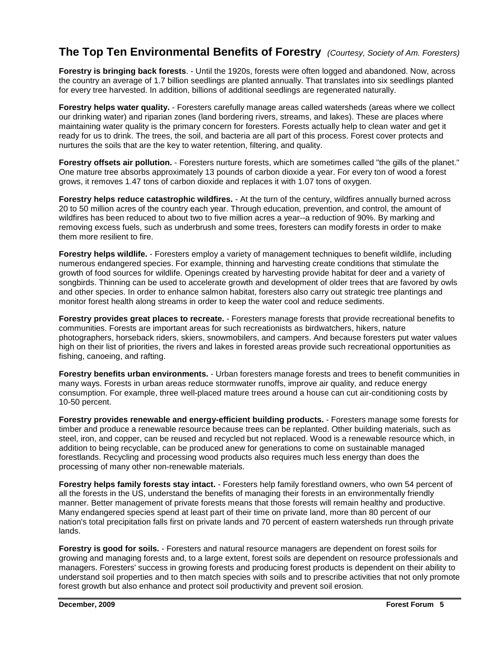#### **The Top Ten Environmental Benefits of Forestry** (Courtesy, Society of Am. Foresters)

**Forestry is bringing back forests**. - Until the 1920s, forests were often logged and abandoned. Now, across the country an average of 1.7 billion seedlings are planted annually. That translates into six seedlings planted for every tree harvested. In addition, billions of additional seedlings are regenerated naturally.

**Forestry helps water quality.** - Foresters carefully manage areas called watersheds (areas where we collect our drinking water) and riparian zones (land bordering rivers, streams, and lakes). These are places where maintaining water quality is the primary concern for foresters. Forests actually help to clean water and get it ready for us to drink. The trees, the soil, and bacteria are all part of this process. Forest cover protects and nurtures the soils that are the key to water retention, filtering, and quality.

**Forestry offsets air pollution.** - Foresters nurture forests, which are sometimes called "the gills of the planet." One mature tree absorbs approximately 13 pounds of carbon dioxide a year. For every ton of wood a forest grows, it removes 1.47 tons of carbon dioxide and replaces it with 1.07 tons of oxygen.

**Forestry helps reduce catastrophic wildfires.** - At the turn of the century, wildfires annually burned across 20 to 50 million acres of the country each year. Through education, prevention, and control, the amount of wildfires has been reduced to about two to five million acres a year--a reduction of 90%. By marking and removing excess fuels, such as underbrush and some trees, foresters can modify forests in order to make them more resilient to fire.

**Forestry helps wildlife.** - Foresters employ a variety of management techniques to benefit wildlife, including numerous endangered species. For example, thinning and harvesting create conditions that stimulate the growth of food sources for wildlife. Openings created by harvesting provide habitat for deer and a variety of songbirds. Thinning can be used to accelerate growth and development of older trees that are favored by owls and other species. In order to enhance salmon habitat, foresters also carry out strategic tree plantings and monitor forest health along streams in order to keep the water cool and reduce sediments.

**Forestry provides great places to recreate.** - Foresters manage forests that provide recreational benefits to communities. Forests are important areas for such recreationists as birdwatchers, hikers, nature photographers, horseback riders, skiers, snowmobilers, and campers. And because foresters put water values high on their list of priorities, the rivers and lakes in forested areas provide such recreational opportunities as fishing, canoeing, and rafting.

**Forestry benefits urban environments.** - Urban foresters manage forests and trees to benefit communities in many ways. Forests in urban areas reduce stormwater runoffs, improve air quality, and reduce energy consumption. For example, three well-placed mature trees around a house can cut air-conditioning costs by 10-50 percent.

**Forestry provides renewable and energy-efficient building products.** - Foresters manage some forests for timber and produce a renewable resource because trees can be replanted. Other building materials, such as steel, iron, and copper, can be reused and recycled but not replaced. Wood is a renewable resource which, in addition to being recyclable, can be produced anew for generations to come on sustainable managed forestlands. Recycling and processing wood products also requires much less energy than does the processing of many other non-renewable materials.

**Forestry helps family forests stay intact.** - Foresters help family forestland owners, who own 54 percent of all the forests in the US, understand the benefits of managing their forests in an environmentally friendly manner. Better management of private forests means that those forests will remain healthy and productive. Many endangered species spend at least part of their time on private land, more than 80 percent of our nation's total precipitation falls first on private lands and 70 percent of eastern watersheds run through private lands.

**Forestry is good for soils.** - Foresters and natural resource managers are dependent on forest soils for growing and managing forests and, to a large extent, forest soils are dependent on resource professionals and managers. Foresters' success in growing forests and producing forest products is dependent on their ability to understand soil properties and to then match species with soils and to prescribe activities that not only promote forest growth but also enhance and protect soil productivity and prevent soil erosion.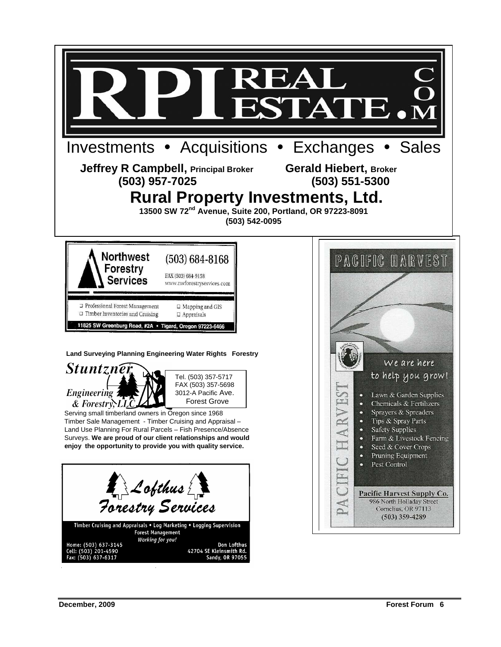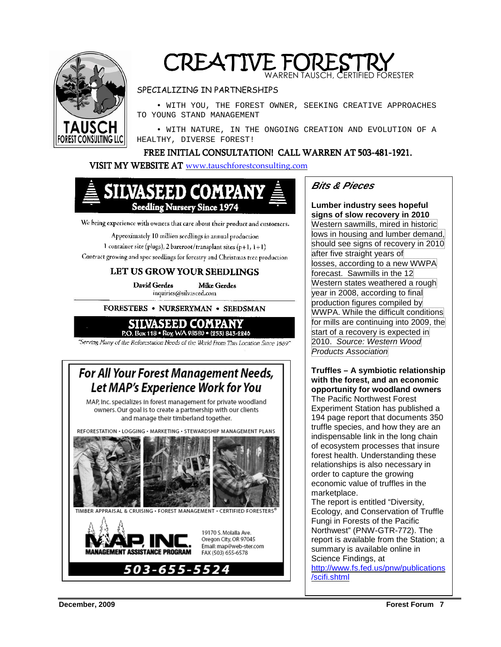

### CREATIVE FORESTRY WARREN TAUSCH, CERTIFIED FORESTER

#### SPECIALIZING IN PARTNERSHIPS

 • WITH YOU, THE FOREST OWNER, SEEKING CREATIVE APPROACHES TO YOUNG STAND MANAGEMENT

 • WITH NATURE, IN THE ONGOING CREATION AND EVOLUTION OF A HEALTHY, DIVERSE FOREST!

#### FREE INITIAL CONSULTATION! CALL WARREN AT 503-481-1921.

#### VISIT MY WEBSITE AT www.tauschforestconsulting.com



We bring experience with owners that care about their product and customers,

Approximately 10 million seedlings in annual production 1 container site (plugs), 2 bareroot/transplant sites (p+1,  $1+1$ ) Contract growing and spec seedlings for forestry and Christmas tree production

#### LET US GROW YOUR SEEDLINGS

David Gerdes **Mike Gerdes** inquiries(@silvaseed.com

FORESTERS . NURSERYMAN . SEEDSMAN



"Serving Many of the Reforestation Needs of the World From This Location Since 1889"

### For All Your Forest Management Needs, Let MAP's Experience Work for You

MAP, Inc. specializes in forest management for private woodland owners. Our goal is to create a partnership with our clients and manage their timberland together.

REFORESTATION . LOGGING . MARKETING . STEWARDSHIP MANAGEMENT PLANS TIMBER APPRAISAL & CRUISING . FOREST MANAGEMENT . CERTIFIED FORESTERS



#### **Bits & Pieces**

**Lumber industry sees hopeful signs of slow recovery in 2010**  Western sawmills, mired in historic lows in housing and lumber demand, should see signs of recovery in 2010 after five straight years of losses, according to a new WWPA forecast. Sawmills in the 12 Western states weathered a rough year in 2008, according to final production figures compiled by WWPA. While the difficult conditions for mills are continuing into 2009, the start of a recovery is expected in 2010. Source: Western Wood Products Association

**Truffles – A symbiotic relationship with the forest, and an economic opportunity for woodland owners**  The Pacific Northwest Forest Experiment Station has published a 194 page report that documents 350 truffle species, and how they are an indispensable link in the long chain of ecosystem processes that insure forest health. Understanding these relationships is also necessary in order to capture the growing economic value of truffles in the marketplace.

The report is entitled "Diversity, Ecology, and Conservation of Truffle Fungi in Forests of the Pacific Northwest" (PNW-GTR-772). The report is available from the Station; a summary is available online in Science Findings, at

http://www.fs.fed.us/pnw/publications /scifi.shtml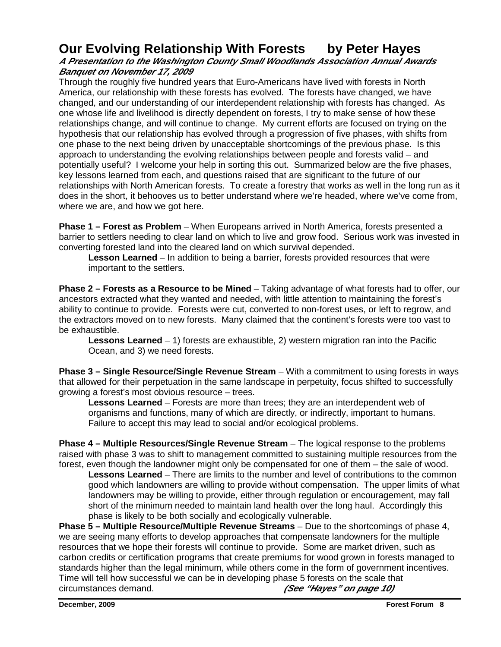### **Our Evolving Relationship With Forests by Peter Hayes**

#### **A Presentation to the Washington County Small Woodlands Association Annual Awards Banquet on November 17, 2009**

Through the roughly five hundred years that Euro-Americans have lived with forests in North America, our relationship with these forests has evolved. The forests have changed, we have changed, and our understanding of our interdependent relationship with forests has changed. As one whose life and livelihood is directly dependent on forests, I try to make sense of how these relationships change, and will continue to change. My current efforts are focused on trying on the hypothesis that our relationship has evolved through a progression of five phases, with shifts from one phase to the next being driven by unacceptable shortcomings of the previous phase. Is this approach to understanding the evolving relationships between people and forests valid – and potentially useful? I welcome your help in sorting this out. Summarized below are the five phases, key lessons learned from each, and questions raised that are significant to the future of our relationships with North American forests. To create a forestry that works as well in the long run as it does in the short, it behooves us to better understand where we're headed, where we've come from, where we are, and how we got here.

**Phase 1 – Forest as Problem** – When Europeans arrived in North America, forests presented a barrier to settlers needing to clear land on which to live and grow food. Serious work was invested in converting forested land into the cleared land on which survival depended.

**Lesson Learned** – In addition to being a barrier, forests provided resources that were important to the settlers.

**Phase 2 – Forests as a Resource to be Mined** – Taking advantage of what forests had to offer, our ancestors extracted what they wanted and needed, with little attention to maintaining the forest's ability to continue to provide. Forests were cut, converted to non-forest uses, or left to regrow, and the extractors moved on to new forests. Many claimed that the continent's forests were too vast to be exhaustible.

**Lessons Learned** – 1) forests are exhaustible, 2) western migration ran into the Pacific Ocean, and 3) we need forests.

**Phase 3 – Single Resource/Single Revenue Stream** – With a commitment to using forests in ways that allowed for their perpetuation in the same landscape in perpetuity, focus shifted to successfully growing a forest's most obvious resource – trees.

**Lessons Learned** – Forests are more than trees; they are an interdependent web of organisms and functions, many of which are directly, or indirectly, important to humans. Failure to accept this may lead to social and/or ecological problems.

**Phase 4 – Multiple Resources/Single Revenue Stream** – The logical response to the problems raised with phase 3 was to shift to management committed to sustaining multiple resources from the forest, even though the landowner might only be compensated for one of them – the sale of wood.

**Lessons Learned** – There are limits to the number and level of contributions to the common good which landowners are willing to provide without compensation. The upper limits of what landowners may be willing to provide, either through regulation or encouragement, may fall short of the minimum needed to maintain land health over the long haul. Accordingly this phase is likely to be both socially and ecologically vulnerable.

**Phase 5 – Multiple Resource/Multiple Revenue Streams** – Due to the shortcomings of phase 4, we are seeing many efforts to develop approaches that compensate landowners for the multiple resources that we hope their forests will continue to provide. Some are market driven, such as carbon credits or certification programs that create premiums for wood grown in forests managed to standards higher than the legal minimum, while others come in the form of government incentives. Time will tell how successful we can be in developing phase 5 forests on the scale that circumstances demand. **(See "Hayes" on page 10)**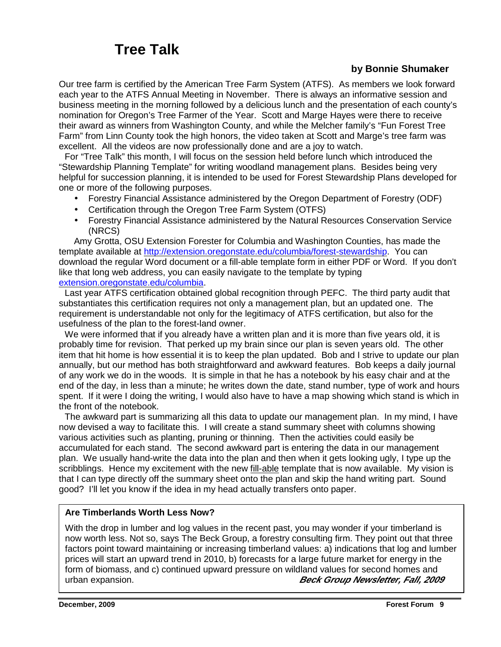## **Tree Talk**

#### **by Bonnie Shumaker**

Our tree farm is certified by the American Tree Farm System (ATFS). As members we look forward each year to the ATFS Annual Meeting in November. There is always an informative session and business meeting in the morning followed by a delicious lunch and the presentation of each county's nomination for Oregon's Tree Farmer of the Year. Scott and Marge Hayes were there to receive their award as winners from Washington County, and while the Melcher family's "Fun Forest Tree Farm" from Linn County took the high honors, the video taken at Scott and Marge's tree farm was excellent. All the videos are now professionally done and are a joy to watch.

 For "Tree Talk" this month, I will focus on the session held before lunch which introduced the "Stewardship Planning Template" for writing woodland management plans. Besides being very helpful for succession planning, it is intended to be used for Forest Stewardship Plans developed for one or more of the following purposes.

- Forestry Financial Assistance administered by the Oregon Department of Forestry (ODF)
- Certification through the Oregon Tree Farm System (OTFS)
- Forestry Financial Assistance administered by the Natural Resources Conservation Service (NRCS)

 Amy Grotta, OSU Extension Forester for Columbia and Washington Counties, has made the template available at http://extension.oregonstate.edu/columbia/forest-stewardship. You can download the regular Word document or a fill-able template form in either PDF or Word. If you don't like that long web address, you can easily navigate to the template by typing extension.oregonstate.edu/columbia.

 Last year ATFS certification obtained global recognition through PEFC. The third party audit that substantiates this certification requires not only a management plan, but an updated one. The requirement is understandable not only for the legitimacy of ATFS certification, but also for the usefulness of the plan to the forest-land owner.

We were informed that if you already have a written plan and it is more than five years old, it is probably time for revision. That perked up my brain since our plan is seven years old. The other item that hit home is how essential it is to keep the plan updated. Bob and I strive to update our plan annually, but our method has both straightforward and awkward features. Bob keeps a daily journal of any work we do in the woods. It is simple in that he has a notebook by his easy chair and at the end of the day, in less than a minute; he writes down the date, stand number, type of work and hours spent. If it were I doing the writing, I would also have to have a map showing which stand is which in the front of the notebook.

 The awkward part is summarizing all this data to update our management plan. In my mind, I have now devised a way to facilitate this. I will create a stand summary sheet with columns showing various activities such as planting, pruning or thinning. Then the activities could easily be accumulated for each stand. The second awkward part is entering the data in our management plan. We usually hand-write the data into the plan and then when it gets looking ugly, I type up the scribblings. Hence my excitement with the new fill-able template that is now available. My vision is that I can type directly off the summary sheet onto the plan and skip the hand writing part. Sound good? I'll let you know if the idea in my head actually transfers onto paper.

#### **Are Timberlands Worth Less Now?**

With the drop in lumber and log values in the recent past, you may wonder if your timberland is now worth less. Not so, says The Beck Group, a forestry consulting firm. They point out that three factors point toward maintaining or increasing timberland values: a) indications that log and lumber prices will start an upward trend in 2010, b) forecasts for a large future market for energy in the form of biomass, and c) continued upward pressure on wildland values for second homes and urban expansion. **Beck Group Newsletter, Fall, 2009**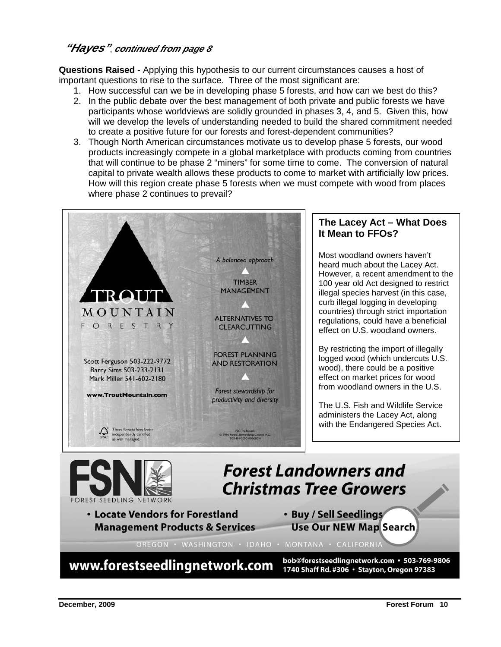#### **"Hayes"**, **continued from page 8**

**Questions Raised** - Applying this hypothesis to our current circumstances causes a host of important questions to rise to the surface. Three of the most significant are:

- 1. How successful can we be in developing phase 5 forests, and how can we best do this?
- 2. In the public debate over the best management of both private and public forests we have participants whose worldviews are solidly grounded in phases 3, 4, and 5. Given this, how will we develop the levels of understanding needed to build the shared commitment needed to create a positive future for our forests and forest-dependent communities?
- 3. Though North American circumstances motivate us to develop phase 5 forests, our wood products increasingly compete in a global marketplace with products coming from countries that will continue to be phase 2 "miners" for some time to come. The conversion of natural capital to private wealth allows these products to come to market with artificially low prices. How will this region create phase 5 forests when we must compete with wood from places where phase 2 continues to prevail?



www.forestseedlingnetwork.com

bob@forestseedlingnetwork.com · 503-769-9806 1740 Shaff Rd. #306 · Stayton, Oregon 97383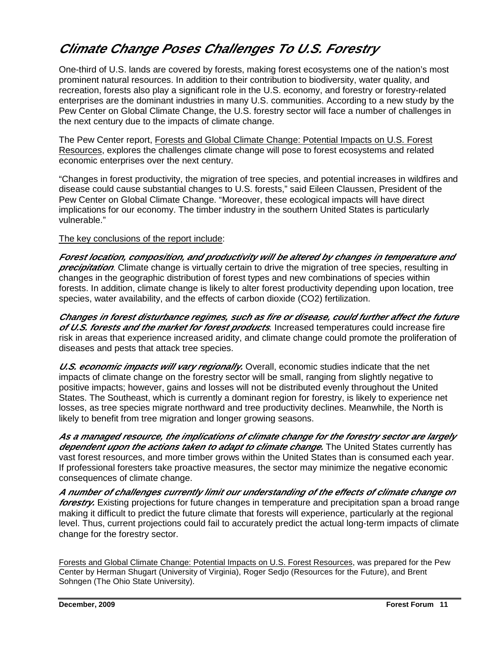### **Climate Change Poses Challenges To U.S. Forestry**

One-third of U.S. lands are covered by forests, making forest ecosystems one of the nation's most prominent natural resources. In addition to their contribution to biodiversity, water quality, and recreation, forests also play a significant role in the U.S. economy, and forestry or forestry-related enterprises are the dominant industries in many U.S. communities. According to a new study by the Pew Center on Global Climate Change, the U.S. forestry sector will face a number of challenges in the next century due to the impacts of climate change.

The Pew Center report, Forests and Global Climate Change: Potential Impacts on U.S. Forest Resources, explores the challenges climate change will pose to forest ecosystems and related economic enterprises over the next century.

"Changes in forest productivity, the migration of tree species, and potential increases in wildfires and disease could cause substantial changes to U.S. forests," said Eileen Claussen, President of the Pew Center on Global Climate Change. "Moreover, these ecological impacts will have direct implications for our economy. The timber industry in the southern United States is particularly vulnerable."

#### The key conclusions of the report include:

**Forest location, composition, and productivity will be altered by changes in temperature and precipitation**. Climate change is virtually certain to drive the migration of tree species, resulting in changes in the geographic distribution of forest types and new combinations of species within forests. In addition, climate change is likely to alter forest productivity depending upon location, tree species, water availability, and the effects of carbon dioxide (CO2) fertilization.

**Changes in forest disturbance regimes, such as fire or disease, could further affect the future of U.S. forests and the market for forest products**. Increased temperatures could increase fire risk in areas that experience increased aridity, and climate change could promote the proliferation of diseases and pests that attack tree species.

*U.S. economic impacts will vary regionally.* Overall, economic studies indicate that the net impacts of climate change on the forestry sector will be small, ranging from slightly negative to positive impacts; however, gains and losses will not be distributed evenly throughout the United States. The Southeast, which is currently a dominant region for forestry, is likely to experience net losses, as tree species migrate northward and tree productivity declines. Meanwhile, the North is likely to benefit from tree migration and longer growing seasons.

**As a managed resource, the implications of climate change for the forestry sector are largely**  *dependent upon the actions taken to adapt to climate change.* **The United States currently has** vast forest resources, and more timber grows within the United States than is consumed each year. If professional foresters take proactive measures, the sector may minimize the negative economic consequences of climate change.

**A number of challenges currently limit our understanding of the effects of climate change on forestry.** Existing projections for future changes in temperature and precipitation span a broad range making it difficult to predict the future climate that forests will experience, particularly at the regional level. Thus, current projections could fail to accurately predict the actual long-term impacts of climate change for the forestry sector.

Forests and Global Climate Change: Potential Impacts on U.S. Forest Resources, was prepared for the Pew Center by Herman Shugart (University of Virginia), Roger Sedjo (Resources for the Future), and Brent Sohngen (The Ohio State University).